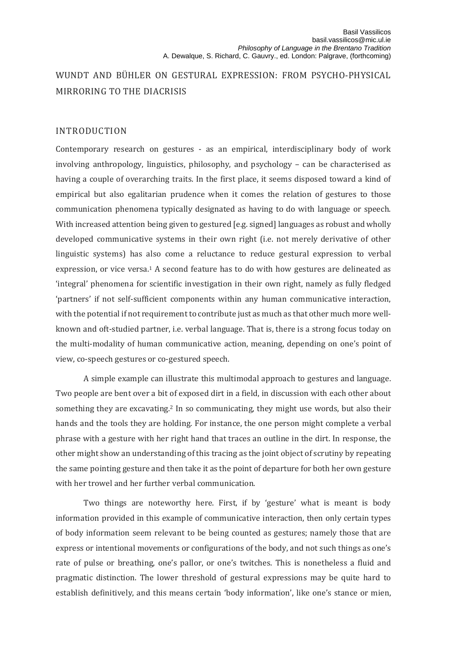# WUNDT AND BÜHLER ON GESTURAL EXPRESSION: FROM PSYCHO-PHYSICAL MIRRORING TO THE DIACRISIS

## INTRODUCTION

Contemporary research on gestures - as an empirical, interdisciplinary body of work involving anthropology, linguistics, philosophy, and psychology – can be characterised as having a couple of overarching traits. In the first place, it seems disposed toward a kind of empirical but also egalitarian prudence when it comes the relation of gestures to those communication phenomena typically designated as having to do with language or speech. With increased attention being given to gestured [e.g. signed] languages as robust and wholly developed communicative systems in their own right (i.e. not merely derivative of other linguistic systems) has also come a reluctance to reduce gestural expression to verbal expression, or vice versa.<sup>1</sup> A second feature has to do with how gestures are delineated as 'integral' phenomena for scientific investigation in their own right, namely as fully fledged 'partners' if not self-sufficient components within any human communicative interaction, with the potential if not requirement to contribute just as much as that other much more wellknown and oft-studied partner, i.e. verbal language. That is, there is a strong focus today on the multi-modality of human communicative action, meaning, depending on one's point of view, co-speech gestures or co-gestured speech.

A simple example can illustrate this multimodal approach to gestures and language. Two people are bent over a bit of exposed dirt in a field, in discussion with each other about something they are excavating.<sup>2</sup> In so communicating, they might use words, but also their hands and the tools they are holding. For instance, the one person might complete a verbal phrase with a gesture with her right hand that traces an outline in the dirt. In response, the other might show an understanding of this tracing as the joint object of scrutiny by repeating the same pointing gesture and then take it as the point of departure for both her own gesture with her trowel and her further verbal communication.

Two things are noteworthy here. First, if by 'gesture' what is meant is body information provided in this example of communicative interaction, then only certain types of body information seem relevant to be being counted as gestures; namely those that are express or intentional movements or configurations of the body, and not such things as one's rate of pulse or breathing, one's pallor, or one's twitches. This is nonetheless a fluid and pragmatic distinction. The lower threshold of gestural expressions may be quite hard to establish definitively, and this means certain 'body information', like one's stance or mien,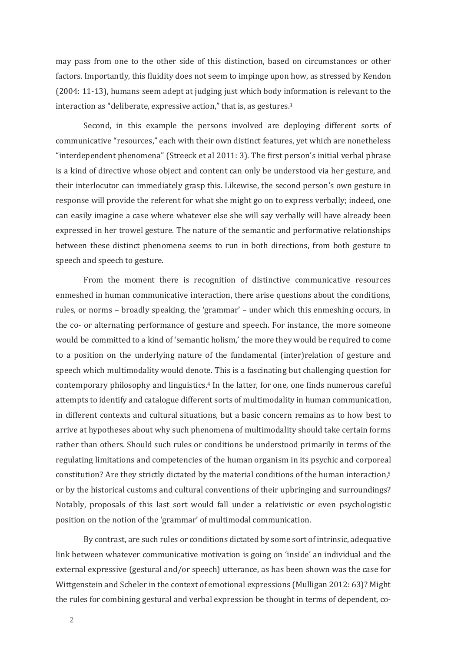may pass from one to the other side of this distinction, based on circumstances or other factors. Importantly, this fluidity does not seem to impinge upon how, as stressed by Kendon (2004: 11-13), humans seem adept at judging just which body information is relevant to the interaction as "deliberate, expressive action," that is, as gestures.<sup>3</sup>

Second, in this example the persons involved are deploying different sorts of communicative "resources," each with their own distinct features, yet which are nonetheless "interdependent phenomena" (Streeck et al 2011: 3). The first person's initial verbal phrase is a kind of directive whose object and content can only be understood via her gesture, and their interlocutor can immediately grasp this. Likewise, the second person's own gesture in response will provide the referent for what she might go on to express verbally; indeed, one can easily imagine a case where whatever else she will say verbally will have already been expressed in her trowel gesture. The nature of the semantic and performative relationships between these distinct phenomena seems to run in both directions, from both gesture to speech and speech to gesture.

From the moment there is recognition of distinctive communicative resources enmeshed in human communicative interaction, there arise questions about the conditions, rules, or norms – broadly speaking, the 'grammar' – under which this enmeshing occurs, in the co- or alternating performance of gesture and speech. For instance, the more someone would be committed to a kind of 'semantic holism,' the more they would be required to come to a position on the underlying nature of the fundamental (inter)relation of gesture and speech which multimodality would denote. This is a fascinating but challenging question for contemporary philosophy and linguistics.<sup>4</sup> In the latter, for one, one finds numerous careful attempts to identify and catalogue different sorts of multimodality in human communication, in different contexts and cultural situations, but a basic concern remains as to how best to arrive at hypotheses about why such phenomena of multimodality should take certain forms rather than others. Should such rules or conditions be understood primarily in terms of the regulating limitations and competencies of the human organism in its psychic and corporeal constitution? Are they strictly dictated by the material conditions of the human interaction,<sup>5</sup> or by the historical customs and cultural conventions of their upbringing and surroundings? Notably, proposals of this last sort would fall under a relativistic or even psychologistic position on the notion of the 'grammar' of multimodal communication.

By contrast, are such rules or conditions dictated by some sort of intrinsic, adequative link between whatever communicative motivation is going on 'inside' an individual and the external expressive (gestural and/or speech) utterance, as has been shown was the case for Wittgenstein and Scheler in the context of emotional expressions (Mulligan 2012: 63)? Might the rules for combining gestural and verbal expression be thought in terms of dependent, co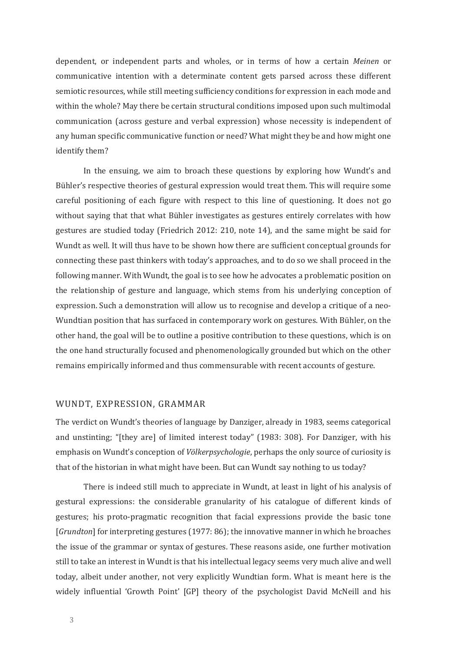dependent, or independent parts and wholes, or in terms of how a certain *Meinen* or communicative intention with a determinate content gets parsed across these different semiotic resources, while still meeting sufficiency conditions for expression in each mode and within the whole? May there be certain structural conditions imposed upon such multimodal communication (across gesture and verbal expression) whose necessity is independent of any human specific communicative function or need? What might they be and how might one identify them?

In the ensuing, we aim to broach these questions by exploring how Wundt's and Bühler's respective theories of gestural expression would treat them. This will require some careful positioning of each figure with respect to this line of questioning. It does not go without saying that that what Bühler investigates as gestures entirely correlates with how gestures are studied today (Friedrich 2012: 210, note 14), and the same might be said for Wundt as well. It will thus have to be shown how there are sufficient conceptual grounds for connecting these past thinkers with today's approaches, and to do so we shall proceed in the following manner. With Wundt, the goal is to see how he advocates a problematic position on the relationship of gesture and language, which stems from his underlying conception of expression. Such a demonstration will allow us to recognise and develop a critique of a neo-Wundtian position that has surfaced in contemporary work on gestures. With Bühler, on the other hand, the goal will be to outline a positive contribution to these questions, which is on the one hand structurally focused and phenomenologically grounded but which on the other remains empirically informed and thus commensurable with recent accounts of gesture.

#### WUNDT, EXPRESSION, GRAMMAR

The verdict on Wundt's theories of language by Danziger, already in 1983, seems categorical and unstinting; "[they are] of limited interest today" (1983: 308). For Danziger, with his emphasis on Wundt's conception of *Völkerpsychologie*, perhaps the only source of curiosity is that of the historian in what might have been. But can Wundt say nothing to us today?

There is indeed still much to appreciate in Wundt, at least in light of his analysis of gestural expressions: the considerable granularity of his catalogue of different kinds of gestures; his proto-pragmatic recognition that facial expressions provide the basic tone [*Grundton*] for interpreting gestures (1977: 86); the innovative manner in which he broaches the issue of the grammar or syntax of gestures. These reasons aside, one further motivation still to take an interest in Wundt is that his intellectual legacy seems very much alive and well today, albeit under another, not very explicitly Wundtian form. What is meant here is the widely influential 'Growth Point' [GP] theory of the psychologist David McNeill and his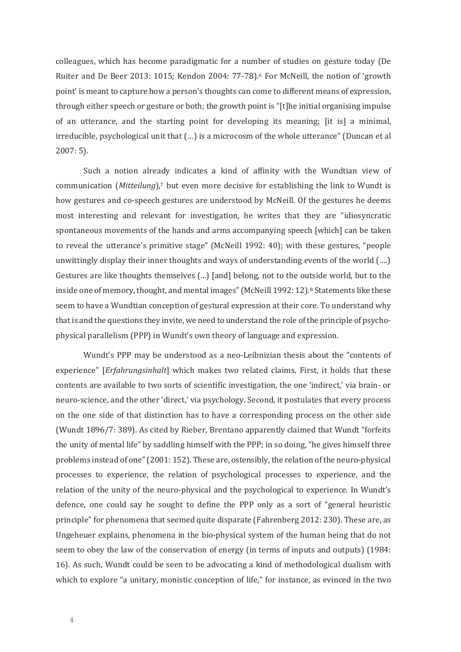colleagues, which has become paradigmatic for a number of studies on gesture today (De Ruiter and De Beer 2013: 1015; Kendon 2004: 77-78).<sup>6</sup> For McNeill, the notion of 'growth point' is meant to capture how a person's thoughts can come to different means of expression, through either speech or gesture or both; the growth point is "[t]he initial organising impulse of an utterance, and the starting point for developing its meaning; [it is] a minimal, irreducible, psychological unit that (…) is a microcosm of the whole utterance" (Duncan et al 2007: 5).

Such a notion already indicates a kind of affinity with the Wundtian view of communication (*Mitteilung*),<sup>7</sup> but even more decisive for establishing the link to Wundt is how gestures and co-speech gestures are understood by McNeill. Of the gestures he deems most interesting and relevant for investigation, he writes that they are "idiosyncratic spontaneous movements of the hands and arms accompanying speech [which] can be taken to reveal the utterance's primitive stage" (McNeill 1992: 40); with these gestures, "people unwittingly display their inner thoughts and ways of understanding events of the world (….) Gestures are like thoughts themselves (...) [and] belong, not to the outside world, but to the inside one of memory, thought, and mental images" (McNeill 1992: 12).<sup>8</sup> Statements like these seem to have a Wundtian conception of gestural expression at their core. To understand why that is and the questions they invite, we need to understand the role of the principle of psychophysical parallelism (PPP) in Wundt's own theory of language and expression.

Wundt's PPP may be understood as a neo-Leibnizian thesis about the "contents of experience" [*Erfahrungsinhalt*] which makes two related claims. First, it holds that these contents are available to two sorts of scientific investigation, the one 'indirect,' via brain- or neuro-science, and the other 'direct,' via psychology. Second, it postulates that every process on the one side of that distinction has to have a corresponding process on the other side (Wundt 1896/7: 389). As cited by Rieber, Brentano apparently claimed that Wundt "forfeits the unity of mental life" by saddling himself with the PPP; in so doing, "he gives himself three problems instead of one"(2001: 152). These are, ostensibly, the relation of the neuro-physical processes to experience, the relation of psychological processes to experience, and the relation of the unity of the neuro-physical and the psychological to experience. In Wundt's defence, one could say he sought to define the PPP only as a sort of "general heuristic principle" for phenomena that seemed quite disparate (Fahrenberg 2012: 230). These are, as Ungeheuer explains, phenomena in the bio-physical system of the human being that do not seem to obey the law of the conservation of energy (in terms of inputs and outputs) (1984: 16). As such, Wundt could be seen to be advocating a kind of methodological dualism with which to explore "a unitary, monistic conception of life," for instance, as evinced in the two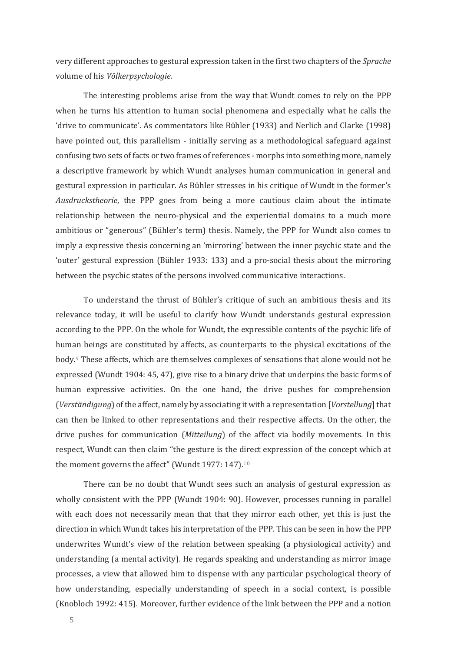very different approaches to gestural expression taken in the first two chapters of the *Sprache* volume of his *Völkerpsychologie.*

The interesting problems arise from the way that Wundt comes to rely on the PPP when he turns his attention to human social phenomena and especially what he calls the 'drive to communicate'. As commentators like Bühler (1933) and Nerlich and Clarke (1998) have pointed out, this parallelism - initially serving as a methodological safeguard against confusing two sets of facts or two frames of references - morphs into something more, namely a descriptive framework by which Wundt analyses human communication in general and gestural expression in particular. As Bühler stresses in his critique of Wundt in the former's *Ausdruckstheorie*, the PPP goes from being a more cautious claim about the intimate relationship between the neuro-physical and the experiential domains to a much more ambitious or "generous" (Bühler's term) thesis. Namely, the PPP for Wundt also comes to imply a expressive thesis concerning an 'mirroring' between the inner psychic state and the 'outer' gestural expression (Bühler 1933: 133) and a pro-social thesis about the mirroring between the psychic states of the persons involved communicative interactions.

To understand the thrust of Bühler's critique of such an ambitious thesis and its relevance today, it will be useful to clarify how Wundt understands gestural expression according to the PPP. On the whole for Wundt, the expressible contents of the psychic life of human beings are constituted by affects, as counterparts to the physical excitations of the body.<sup>9</sup> These affects, which are themselves complexes of sensations that alone would not be expressed (Wundt 1904: 45, 47), give rise to a binary drive that underpins the basic forms of human expressive activities. On the one hand, the drive pushes for comprehension (*Verständigung*) of the affect, namely by associating itwith a representation [*Vorstellung*]that can then be linked to other representations and their respective affects. On the other, the drive pushes for communication (*Mitteilung*) of the affect via bodily movements. In this respect, Wundt can then claim "the gesture is the direct expression of the concept which at the moment governs the affect" (Wundt 1977: 147).<sup>10</sup>

There can be no doubt that Wundt sees such an analysis of gestural expression as wholly consistent with the PPP (Wundt 1904: 90). However, processes running in parallel with each does not necessarily mean that that they mirror each other, yet this is just the direction in which Wundt takes his interpretation of the PPP. This can be seen in how the PPP underwrites Wundt's view of the relation between speaking (a physiological activity) and understanding (a mental activity). He regards speaking and understanding as mirror image processes, a view that allowed him to dispense with any particular psychological theory of how understanding, especially understanding of speech in a social context, is possible (Knobloch 1992: 415). Moreover, further evidence of the link between the PPP and a notion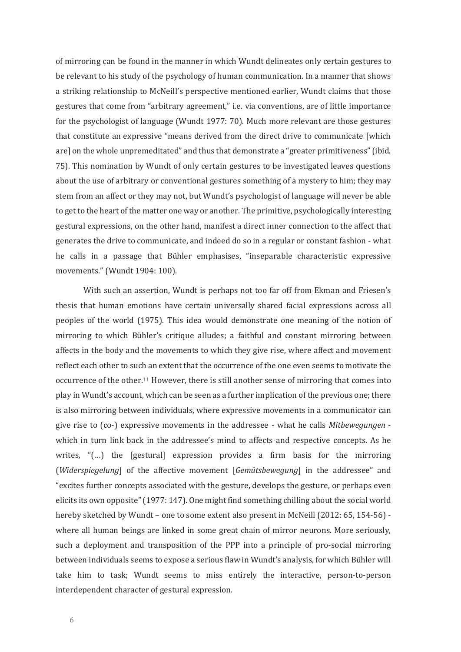of mirroring can be found in the manner in which Wundt delineates only certain gestures to be relevant to his study of the psychology of human communication. In a manner that shows a striking relationship to McNeill's perspective mentioned earlier, Wundt claims that those gestures that come from "arbitrary agreement," i.e. via conventions, are of little importance for the psychologist of language (Wundt 1977: 70). Much more relevant are those gestures that constitute an expressive "means derived from the direct drive to communicate [which are] on the whole unpremeditated" and thus that demonstrate a "greater primitiveness"(ibid. 75). This nomination by Wundt of only certain gestures to be investigated leaves questions about the use of arbitrary or conventional gestures something of a mystery to him; they may stem from an affect or they may not, but Wundt's psychologist of language will never be able to get to the heart of the matter one way or another. The primitive, psychologically interesting gestural expressions, on the other hand, manifest a direct inner connection to the affect that generates the drive to communicate, and indeed do so in a regular or constant fashion - what he calls in a passage that Bühler emphasises, "inseparable characteristic expressive movements." (Wundt 1904: 100).

With such an assertion, Wundt is perhaps not too far off from Ekman and Friesen's thesis that human emotions have certain universally shared facial expressions across all peoples of the world (1975). This idea would demonstrate one meaning of the notion of mirroring to which Bühler's critique alludes; a faithful and constant mirroring between affects in the body and the movements to which they give rise, where affect and movement reflect each other to such an extent that the occurrence of the one even seems to motivate the occurrence of the other.<sup>11</sup> However, there is still another sense of mirroring that comes into play in Wundt's account, which can be seen as a further implication of the previous one; there is also mirroring between individuals, where expressive movements in a communicator can give rise to (co-) expressive movements in the addressee - what he calls *Mitbewegungen* which in turn link back in the addressee's mind to affects and respective concepts. As he writes, "(…) the [gestural] expression provides a firm basis for the mirroring (*Widerspiegelung*] of the affective movement [*Gemütsbewegung*] in the addressee" and "excites further concepts associated with the gesture, develops the gesture, or perhaps even elicits its own opposite"(1977: 147). One might find something chilling about the social world hereby sketched by Wundt – one to some extent also present in McNeill (2012: 65, 154-56) where all human beings are linked in some great chain of mirror neurons. More seriously, such a deployment and transposition of the PPP into a principle of pro-social mirroring between individuals seems to expose a serious flaw in Wundt's analysis, for which Bühler will take him to task; Wundt seems to miss entirely the interactive, person-to-person interdependent character of gestural expression.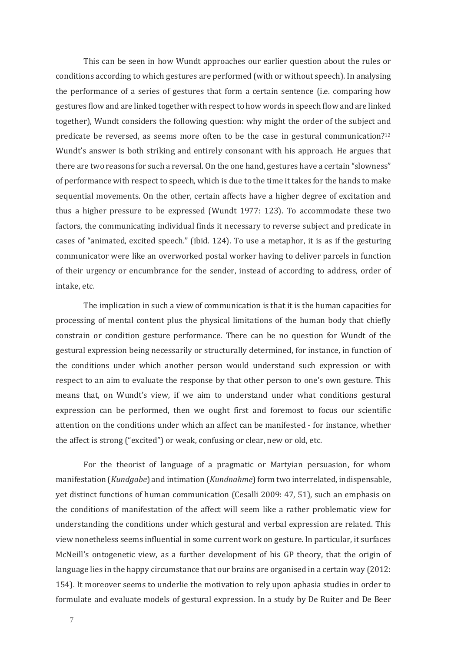This can be seen in how Wundt approaches our earlier question about the rules or conditions according to which gestures are performed (with or without speech). In analysing the performance of a series of gestures that form a certain sentence (i.e. comparing how gestures flow and are linked together with respectto how words in speech flow and are linked together), Wundt considers the following question: why might the order of the subject and predicate be reversed, as seems more often to be the case in gestural communication?<sup>12</sup> Wundt's answer is both striking and entirely consonant with his approach. He argues that there are two reasons for such a reversal. On the one hand, gestures have a certain "slowness" of performance with respect to speech, which is due to the time it takes for the hands to make sequential movements. On the other, certain affects have a higher degree of excitation and thus a higher pressure to be expressed (Wundt 1977: 123). To accommodate these two factors, the communicating individual finds it necessary to reverse subject and predicate in cases of "animated, excited speech." (ibid. 124). To use a metaphor, it is as if the gesturing communicator were like an overworked postal worker having to deliver parcels in function of their urgency or encumbrance for the sender, instead of according to address, order of intake, etc.

The implication in such a view of communication is that it is the human capacities for processing of mental content plus the physical limitations of the human body that chiefly constrain or condition gesture performance. There can be no question for Wundt of the gestural expression being necessarily or structurally determined, for instance, in function of the conditions under which another person would understand such expression or with respect to an aim to evaluate the response by that other person to one's own gesture. This means that, on Wundt's view, if we aim to understand under what conditions gestural expression can be performed, then we ought first and foremost to focus our scientific attention on the conditions under which an affect can be manifested - for instance, whether the affect is strong ("excited") or weak, confusing or clear, new or old, etc.

For the theorist of language of a pragmatic or Martyian persuasion, for whom manifestation (*Kundgabe*) and intimation (*Kundnahme*) form two interrelated, indispensable, yet distinct functions of human communication (Cesalli 2009: 47, 51), such an emphasis on the conditions of manifestation of the affect will seem like a rather problematic view for understanding the conditions under which gestural and verbal expression are related. This view nonetheless seems influential in some current work on gesture. In particular, it surfaces McNeill's ontogenetic view, as a further development of his GP theory, that the origin of language lies in the happy circumstance that our brains are organised in a certain way (2012: 154). It moreover seems to underlie the motivation to rely upon aphasia studies in order to formulate and evaluate models of gestural expression. In a study by De Ruiter and De Beer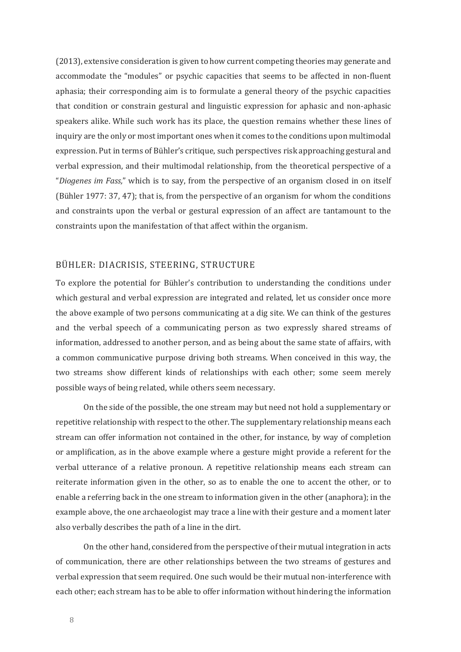(2013), extensive consideration is given to how current competing theories may generate and accommodate the "modules" or psychic capacities that seems to be affected in non-fluent aphasia; their corresponding aim is to formulate a general theory of the psychic capacities that condition or constrain gestural and linguistic expression for aphasic and non-aphasic speakers alike. While such work has its place, the question remains whether these lines of inquiry are the only or mostimportant ones when it comes to the conditions upon multimodal expression. Put in terms of Bühler's critique, such perspectives risk approaching gestural and verbal expression, and their multimodal relationship, from the theoretical perspective of a "*Diogenes im Fass,*" which is to say, from the perspective of an organism closed in on itself (Bühler 1977: 37, 47); that is, from the perspective of an organism for whom the conditions and constraints upon the verbal or gestural expression of an affect are tantamount to the constraints upon the manifestation of that affect within the organism.

#### BÜHLER: DIACRISIS, STEERING, STRUCTURE

To explore the potential for Bühler's contribution to understanding the conditions under which gestural and verbal expression are integrated and related, let us consider once more the above example of two persons communicating at a dig site. We can think of the gestures and the verbal speech of a communicating person as two expressly shared streams of information, addressed to another person, and as being about the same state of affairs, with a common communicative purpose driving both streams. When conceived in this way, the two streams show different kinds of relationships with each other; some seem merely possible ways of being related, while others seem necessary.

On the side of the possible, the one stream may but need not hold a supplementary or repetitive relationship with respect to the other. The supplementary relationship means each stream can offer information not contained in the other, for instance, by way of completion or amplification, as in the above example where a gesture might provide a referent for the verbal utterance of a relative pronoun. A repetitive relationship means each stream can reiterate information given in the other, so as to enable the one to accent the other, or to enable a referring back in the one stream to information given in the other (anaphora); in the example above, the one archaeologist may trace a line with their gesture and a moment later also verbally describes the path of a line in the dirt.

On the other hand, considered from the perspective of their mutual integration in acts of communication, there are other relationships between the two streams of gestures and verbal expression that seem required. One such would be their mutual non-interference with each other; each stream has to be able to offer information without hindering the information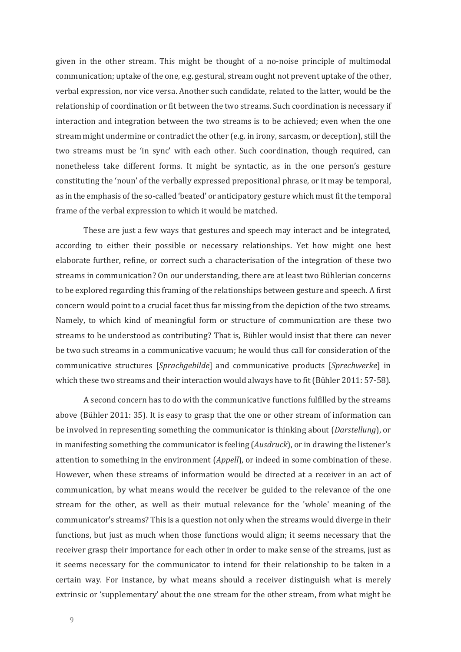given in the other stream. This might be thought of a no-noise principle of multimodal communication; uptake of the one, e.g. gestural, stream ought not prevent uptake of the other, verbal expression, nor vice versa. Another such candidate, related to the latter, would be the relationship of coordination or fit between the two streams. Such coordination is necessary if interaction and integration between the two streams is to be achieved; even when the one stream might undermine or contradict the other (e.g. in irony, sarcasm, or deception), still the two streams must be 'in sync' with each other. Such coordination, though required, can nonetheless take different forms. It might be syntactic, as in the one person's gesture constituting the 'noun' of the verbally expressed prepositional phrase, or it may be temporal, as in the emphasis of the so-called 'beated' or anticipatory gesture which must fitthe temporal frame of the verbal expression to which it would be matched.

These are just a few ways that gestures and speech may interact and be integrated, according to either their possible or necessary relationships. Yet how might one best elaborate further, refine, or correct such a characterisation of the integration of these two streams in communication? On our understanding, there are at least two Bühlerian concerns to be explored regarding this framing of the relationships between gesture and speech. A first concern would point to a crucial facet thus far missing from the depiction of the two streams. Namely, to which kind of meaningful form or structure of communication are these two streams to be understood as contributing? That is, Bühler would insist that there can never be two such streams in a communicative vacuum; he would thus call for consideration of the communicative structures [*Sprachgebilde*] and communicative products [*Sprechwerke*] in which these two streams and their interaction would always have to fit (Bühler 2011: 57-58).

A second concern has to do with the communicative functions fulfilled by the streams above (Bühler 2011: 35). It is easy to grasp that the one or other stream of information can be involved in representing something the communicator is thinking about (*Darstellung*), or in manifesting something the communicator is feeling (*Ausdruck*), or in drawing the listener's attention to something in the environment (*Appell*), or indeed in some combination of these. However, when these streams of information would be directed at a receiver in an act of communication, by what means would the receiver be guided to the relevance of the one stream for the other, as well as their mutual relevance for the 'whole' meaning of the communicator's streams? This is a question not only when the streams would diverge in their functions, but just as much when those functions would align; it seems necessary that the receiver grasp their importance for each other in order to make sense of the streams, just as it seems necessary for the communicator to intend for their relationship to be taken in a certain way. For instance, by what means should a receiver distinguish what is merely extrinsic or 'supplementary' about the one stream for the other stream, from what might be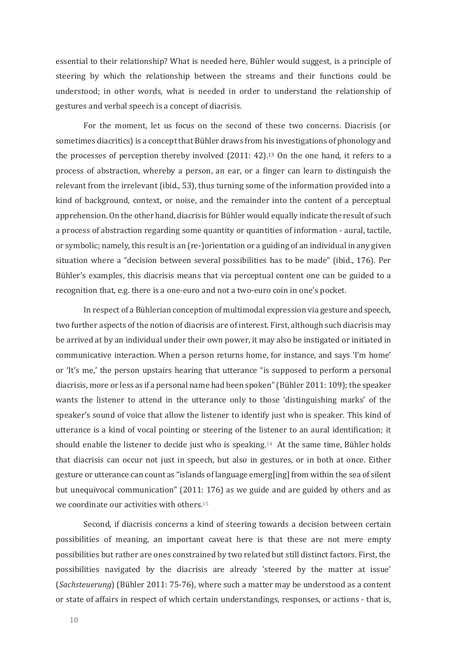essential to their relationship? What is needed here, Bühler would suggest, is a principle of steering by which the relationship between the streams and their functions could be understood; in other words, what is needed in order to understand the relationship of gestures and verbal speech is a concept of diacrisis.

For the moment, let us focus on the second of these two concerns. Diacrisis (or sometimes diacritics) is a concept that Bühler draws from his investigations of phonology and the processes of perception thereby involved (2011: 42).<sup>13</sup> On the one hand, it refers to a process of abstraction, whereby a person, an ear, or a finger can learn to distinguish the relevant from the irrelevant (ibid., 53), thus turning some of the information provided into a kind of background, context, or noise, and the remainder into the content of a perceptual apprehension. On the other hand, diacrisis for Bühler would equally indicate the result of such a process of abstraction regarding some quantity or quantities of information - aural, tactile, or symbolic; namely, this resultis an (re-)orientation or a guiding of an individual in any given situation where a "decision between several possibilities has to be made" (ibid., 176). Per Bühler's examples, this diacrisis means that via perceptual content one can be guided to a recognition that, e.g. there is a one-euro and not a two-euro coin in one's pocket.

In respect of a Bühlerian conception of multimodal expression via gesture and speech, two further aspects of the notion of diacrisis are of interest. First, although such diacrisis may be arrived at by an individual under their own power, it may also be instigated or initiated in communicative interaction. When a person returns home, for instance, and says 'I'm home' or 'It's me,' the person upstairs hearing that utterance "is supposed to perform a personal diacrisis, more or less as if a personal name had been spoken"(Bühler 2011: 109); the speaker wants the listener to attend in the utterance only to those 'distinguishing marks' of the speaker's sound of voice that allow the listener to identify just who is speaker. This kind of utterance is a kind of vocal pointing or steering of the listener to an aural identification; it should enable the listener to decide just who is speaking.<sup>14</sup> At the same time, Bühler holds that diacrisis can occur not just in speech, but also in gestures, or in both at once. Either gesture or utterance can count as "islands of language emerg[ing] from within the sea of silent but unequivocal communication" (2011: 176) as we guide and are guided by others and as we coordinate our activities with others.<sup>15</sup>

Second, if diacrisis concerns a kind of steering towards a decision between certain possibilities of meaning, an important caveat here is that these are not mere empty possibilities but rather are ones constrained by two related but still distinct factors. First, the possibilities navigated by the diacrisis are already 'steered by the matter at issue' (*Sachsteuerung*) (Bühler 2011: 75-76), where such a matter may be understood as a content or state of affairs in respect of which certain understandings, responses, or actions - that is,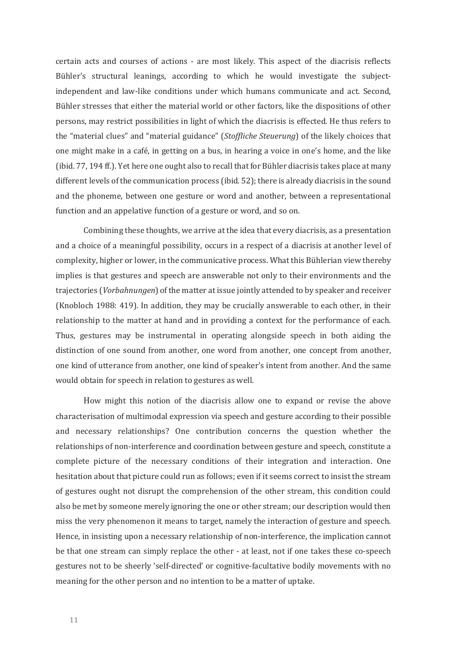certain acts and courses of actions - are most likely. This aspect of the diacrisis reflects Bühler's structural leanings, according to which he would investigate the subjectindependent and law-like conditions under which humans communicate and act. Second, Bühler stresses that either the material world or other factors, like the dispositions of other persons, may restrict possibilities in light of which the diacrisis is effected. He thus refers to the "material clues" and "material guidance" (*Stoffliche Steuerung*) of the likely choices that one might make in a café, in getting on a bus, in hearing a voice in one's home, and the like (ibid. 77, 194 ff.). Yet here one ought also to recall that for Bühler diacrisis takes place at many different levels of the communication process (ibid*.* 52); there is already diacrisis in the sound and the phoneme, between one gesture or word and another, between a representational function and an appelative function of a gesture or word, and so on.

Combining these thoughts, we arrive at the idea that every diacrisis, as a presentation and a choice of a meaningful possibility, occurs in a respect of a diacrisis at another level of complexity, higher or lower, in the communicative process. What this Bühlerian view thereby implies is that gestures and speech are answerable not only to their environments and the trajectories (*Vorbahnungen*) of the matter at issue jointly attended to by speaker and receiver (Knobloch 1988: 419). In addition, they may be crucially answerable to each other, in their relationship to the matter at hand and in providing a context for the performance of each. Thus, gestures may be instrumental in operating alongside speech in both aiding the distinction of one sound from another, one word from another, one concept from another, one kind of utterance from another, one kind of speaker's intent from another. And the same would obtain for speech in relation to gestures as well.

How might this notion of the diacrisis allow one to expand or revise the above characterisation of multimodal expression via speech and gesture according to their possible and necessary relationships? One contribution concerns the question whether the relationships of non-interference and coordination between gesture and speech, constitute a complete picture of the necessary conditions of their integration and interaction. One hesitation about that picture could run as follows; even if it seems correct to insist the stream of gestures ought not disrupt the comprehension of the other stream, this condition could also be met by someone merely ignoring the one or other stream; our description would then miss the very phenomenon it means to target, namely the interaction of gesture and speech. Hence, in insisting upon a necessary relationship of non-interference, the implication cannot be that one stream can simply replace the other - at least, not if one takes these co-speech gestures not to be sheerly 'self-directed' or cognitive-facultative bodily movements with no meaning for the other person and no intention to be a matter of uptake.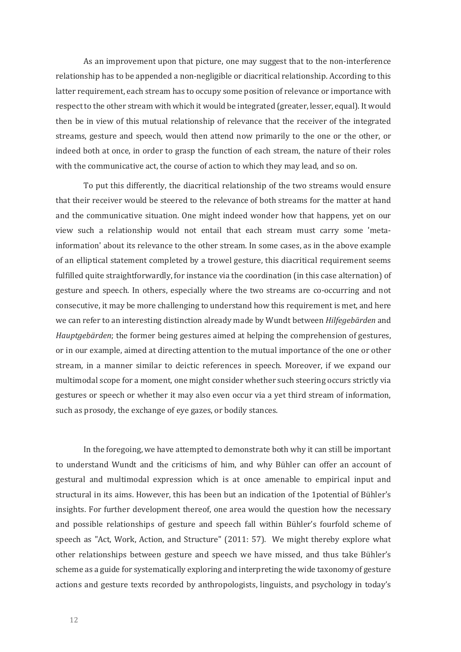As an improvement upon that picture, one may suggest that to the non-interference relationship has to be appended a non-negligible or diacritical relationship. According to this latter requirement, each stream has to occupy some position of relevance or importance with respectto the other stream with which it would be integrated (greater, lesser, equal). It would then be in view of this mutual relationship of relevance that the receiver of the integrated streams, gesture and speech, would then attend now primarily to the one or the other, or indeed both at once, in order to grasp the function of each stream, the nature of their roles with the communicative act, the course of action to which they may lead, and so on.

To put this differently, the diacritical relationship of the two streams would ensure that their receiver would be steered to the relevance of both streams for the matter at hand and the communicative situation. One might indeed wonder how that happens, yet on our view such a relationship would not entail that each stream must carry some 'metainformation' about its relevance to the other stream. In some cases, as in the above example of an elliptical statement completed by a trowel gesture, this diacritical requirement seems fulfilled quite straightforwardly, for instance via the coordination (in this case alternation) of gesture and speech. In others, especially where the two streams are co-occurring and not consecutive, it may be more challenging to understand how this requirement is met, and here we can refer to an interesting distinction already made by Wundt between *Hilfegebärden* and *Hauptgebärden*; the former being gestures aimed at helping the comprehension of gestures, or in our example, aimed at directing attention to the mutual importance of the one or other stream, in a manner similar to deictic references in speech. Moreover, if we expand our multimodal scope for a moment, one might consider whether such steering occurs strictly via gestures or speech or whether it may also even occur via a yet third stream of information, such as prosody, the exchange of eye gazes, or bodily stances.

In the foregoing, we have attempted to demonstrate both why it can still be important to understand Wundt and the criticisms of him, and why Bühler can offer an account of gestural and multimodal expression which is at once amenable to empirical input and structural in its aims. However, this has been but an indication of the 1potential of Bühler's insights. For further development thereof, one area would the question how the necessary and possible relationships of gesture and speech fall within Bühler's fourfold scheme of speech as "Act, Work, Action, and Structure" (2011: 57). We might thereby explore what other relationships between gesture and speech we have missed, and thus take Bühler's scheme as a guide for systematically exploring and interpreting the wide taxonomy of gesture actions and gesture texts recorded by anthropologists, linguists, and psychology in today's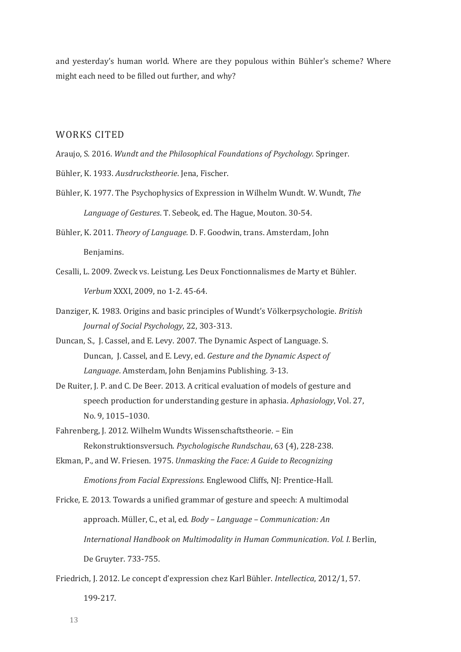and yesterday's human world. Where are they populous within Bühler's scheme? Where might each need to be filled out further, and why?

### WORKS CITED

Araujo, S. 2016. *Wundt and the Philosophical Foundations of Psychology.* Springer.

- Bühler, K. 1933. *Ausdruckstheorie*. Jena, Fischer.
- Bühler, K. 1977. The Psychophysics of Expression in Wilhelm Wundt. W. Wundt, *The Language of Gestures*. T. Sebeok, ed. The Hague, Mouton. 30-54.
- Bühler, K. 2011. *Theory of Language.* D. F. Goodwin, trans. Amsterdam, John Benjamins.
- Cesalli, L. 2009. Zweck vs. Leistung. Les Deux Fonctionnalismes de Marty et Bühler. *Verbum* XXXI, 2009, no 1-2. 45-64.
- Danziger, K. 1983. Origins and basic principles of Wundt's Völkerpsychologie. *British Journal of Social Psychology*, 22, 303-313.
- Duncan, S., J. Cassel, and E. Levy. 2007. The Dynamic Aspect of Language. S. Duncan, J. Cassel, and E. Levy, ed. *Gesture and the Dynamic Aspect of Language*. Amsterdam, John Benjamins Publishing. 3-13.
- De Ruiter, J. P. and C. De Beer. 2013. A critical evaluation of models of gesture and speech production for understanding gesture in aphasia. *Aphasiology*, Vol. 27, No. 9, 1015–1030.
- Fahrenberg, J. 2012. Wilhelm Wundts Wissenschaftstheorie. Ein Rekonstruktionsversuch. *Psychologische Rundschau*, 63 (4), 228-238.
- Ekman, P., and W. Friesen. 1975. *Unmasking the Face: A Guide to Recognizing Emotions from Facial Expressions.* Englewood Cliffs, NJ: Prentice-Hall.
- Fricke, E. 2013. Towards a unified grammar of gesture and speech: A multimodal approach. Müller, C., et al, ed. *Body – Language – Communication: An International Handbook on Multimodality in Human Communication*. *Vol. I.* Berlin, De Gruyter. 733-755.
- Friedrich, J. 2012. Le concept d'expression chez Karl Bühler. *Intellectica*, 2012/1, 57. 199-217.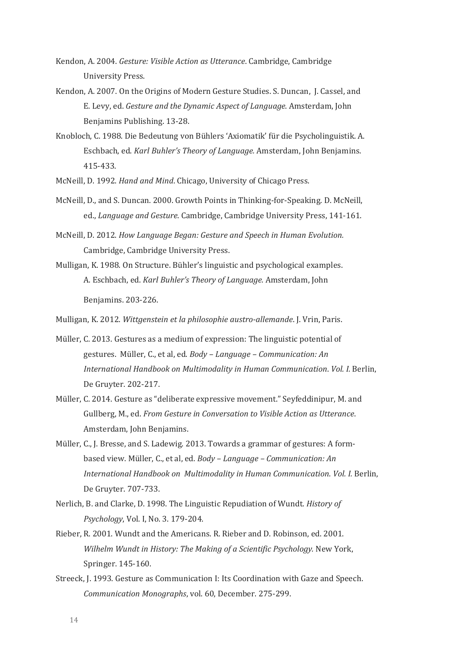- Kendon, A. 2004. *Gesture: Visible Action as Utterance*. Cambridge, Cambridge University Press.
- Kendon, A. 2007. On the Origins of Modern Gesture Studies. S. Duncan, J. Cassel, and E. Levy, ed. *Gesture and the Dynamic Aspect of Language*. Amsterdam, John Benjamins Publishing. 13-28.
- Knobloch, C. 1988. Die Bedeutung von Bühlers 'Axiomatik' für die Psycholinguistik. A. Eschbach, ed. *Karl Buhler's Theory of Language.* Amsterdam, John Benjamins. 415-433.
- McNeill, D. 1992. *Hand and Mind*. Chicago, University of Chicago Press.
- McNeill, D., and S. Duncan. 2000. Growth Points in Thinking-for-Speaking. D. McNeill, ed., *Language and Gesture*. Cambridge, Cambridge University Press, 141-161.
- McNeill, D. 2012. *How Language Began: Gesture and Speech in Human Evolution.* Cambridge, Cambridge University Press.
- Mulligan, K. 1988. On Structure. Bühler's linguistic and psychological examples. A. Eschbach, ed. *Karl Buhler's Theory of Language.* Amsterdam, John Benjamins. 203-226.

Mulligan, K. 2012. *Wittgenstein et la philosophie austro-allemande*. J. Vrin, Paris.

- Müller, C. 2013. Gestures as a medium of expression: The linguistic potential of gestures. Müller, C., et al, ed. *Body – Language – Communication: An International Handbook on Multimodality in Human Communication*. *Vol. I.* Berlin, De Gruyter. 202-217.
- Müller, C. 2014. Gesture as "deliberate expressive movement." Seyfeddinipur, M. and Gullberg, M., ed. *From Gesture in Conversation to Visible Action as Utterance*. Amsterdam, John Benjamins.
- Müller, C., J. Bresse, and S. Ladewig. 2013. Towards a grammar of gestures: A formbased view. Müller, C., et al, ed. *Body – Language – Communication: An International Handbook on Multimodality in Human Communication*. *Vol. I.* Berlin, De Gruyter. 707-733.
- Nerlich, B. and Clarke, D. 1998. The Linguistic Repudiation of Wundt. *History of Psychology*, Vol. I, No. 3. 179-204.
- Rieber, R. 2001. Wundt and the Americans. R. Rieber and D. Robinson, ed. 2001. *Wilhelm Wundt in History: The Making of a Scientific Psychology.* New York, Springer. 145-160.
- Streeck, J. 1993. Gesture as Communication I: Its Coordination with Gaze and Speech. *Communication Monographs*, vol. 60, December. 275-299.